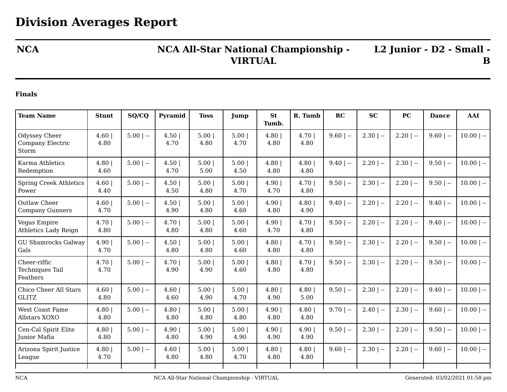## **NCA NCA All-Star National Championship - VIRTUAL**

**L2 Junior - D2 - Small - B**

## **Finals**

| <b>Team Name</b>                                   | <b>Stunt</b> | SQ/CQ       | Pyramid      | <b>Toss</b>  | Jump         | <b>St</b><br>Tumb. | R. Tumb        | RC           | <b>SC</b>    | <b>PC</b>    | <b>Dance</b> | AAI          |
|----------------------------------------------------|--------------|-------------|--------------|--------------|--------------|--------------------|----------------|--------------|--------------|--------------|--------------|--------------|
| Odyssey Cheer<br>Company Electric<br>Storm         | 4.60<br>4.80 | $5.00$   -- | 4.50<br>4.70 | 5.00<br>4.80 | 5.00<br>4.70 | 4.80<br>4.80       | 4.70<br>4.80   | $9.60$   --  | $2.30$   --  | $2.20$   --  | $9.60$   --  | $10.00$   -- |
| Karma Athletics<br>Redemption                      | 4.80<br>4.60 | $5.00$   -- | 4.50<br>4.70 | 5.00<br>5.00 | 5.00<br>4.50 | 4.80<br>4.80       | 4.80<br>4.80   | $9.40$   --  | $2.20$   $-$ | $2.30$   --  | $9.50$   --  | $10.00$   -- |
| <b>Spring Creek Athletics</b><br>Power             | 4.60<br>4.40 | $5.00$   -- | 4.50<br>4.50 | 5.00<br>4.80 | 5.00<br>4.70 | 4.90<br>4.70       | 4.70  <br>4.80 | $9.50$   --  | $2.30$   $-$ | $2.20$   --  | $9.50$   --  | $10.00$   -- |
| <b>Outlaw Cheer</b><br><b>Company Gunners</b>      | 4.60<br>4.70 | $5.00$   -- | 4.50<br>4.90 | 5.00<br>4.80 | 5.00<br>4.60 | 4.90<br>4.80       | 4.80<br>4.90   | $9.40$   --  | $2.20$   $-$ | $2.20$   $-$ | $9.40$   --  | $10.00$   -- |
| Vegas Empire<br>Athletics Lady Reign               | 4.70<br>4.80 | $5.00$   -- | 4.70<br>4.80 | 5.00<br>4.80 | 5.00<br>4.60 | 4.90 <br>4.70      | 4.70<br>4.80   | $9.50$   --  | $2.20$   --  | $2.20$   --  | $9.40$   --  | $10.00$   -- |
| <b>GU Shamrocks Galway</b><br>Gals                 | 4.90<br>4.70 | $5.00$   -- | 4.50<br>4.80 | 5.00<br>4.80 | 5.00<br>4.60 | 4.80<br>4.80       | 4.70<br>4.80   | $9.50$   $-$ | $2.30$   --  | $2.20$   $-$ | $9.50$   --  | $10.00$   -- |
| Cheer-riffic<br><b>Techniques Tail</b><br>Feathers | 4.70<br>4.70 | $5.00$   -- | 4.70<br>4.90 | 5.00<br>4.90 | 5.00<br>4.60 | 4.80<br>4.80       | 4.70<br>4.80   | $9.50$   --  | $2.30$   $-$ | $2.20$   --  | $9.50$   --  | $10.00$   -- |
| Chico Cheer All Stars<br><b>GLITZ</b>              | 4.60<br>4.80 | $5.00$   -- | 4.60<br>4.60 | 5.00<br>4.90 | 5.00<br>4.70 | 4.80<br>4.90       | 4.80<br>5.00   | $9.50$   --  | $2.30$   $-$ | $2.20$   --  | $9.40$   --  | $10.00$   -- |
| <b>West Coast Fame</b><br>Allstars XOXO            | 4.80<br>4.80 | $5.00$   -- | 4.80<br>4.80 | 5.00<br>4.80 | 5.00<br>4.80 | 4.90<br>4.80       | 4.80<br>4.80   | $9.70$   $-$ | $2.40$   --  | $2.30$   $-$ | $9.60$   --  | $10.00$   -- |
| Cen-Cal Spirit Elite<br>Junior Mafia               | 4.80<br>4.80 | $5.00$   -- | 4.90<br>4.80 | 5.00<br>4.90 | 5.00<br>4.90 | 4.90<br>4.90       | 4.90<br>4.90   | $9.50$   $-$ | $2.30$   --  | $2.20$   $-$ | $9.50$   --  | $10.00$   -- |
| Arizona Spirit Justice<br>League                   | 4.80<br>4.70 | $5.00$   -- | 4.60<br>4.80 | 5.00<br>4.80 | 5.00<br>4.70 | 4.80<br>4.80       | 4.80<br>4.80   | $9.60$   --  | $2.30$   $-$ | $2.20$   $-$ | $9.60$   --  | $10.00$   -- |